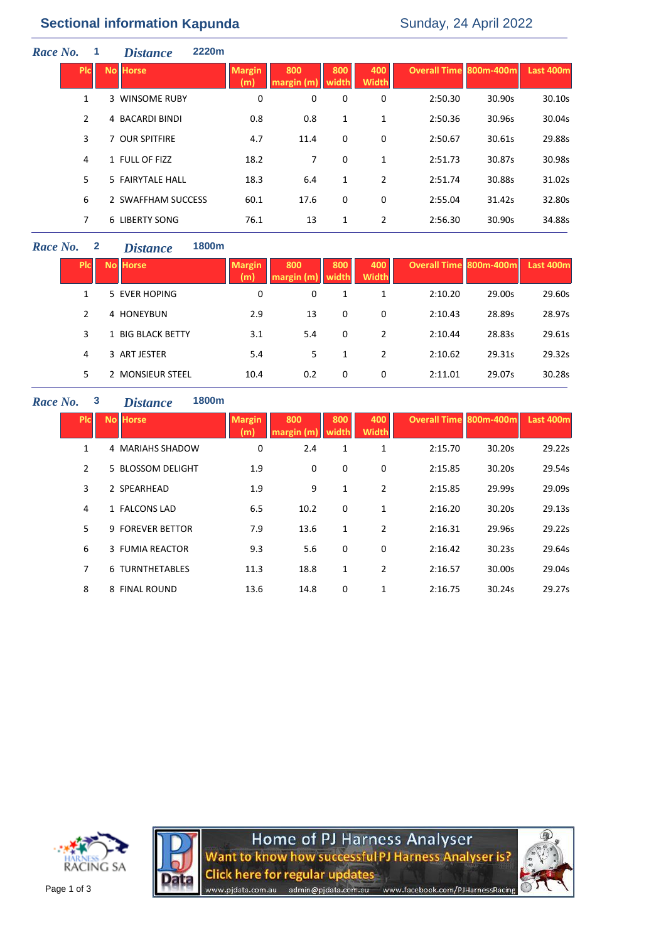# **Sectional information Kapunda** Sunday, 24 April 2022

| Race No. |              | <b>Distance</b>       | 2220m                |                  |              |                     |                               |        |           |
|----------|--------------|-----------------------|----------------------|------------------|--------------|---------------------|-------------------------------|--------|-----------|
|          | <b>PIC</b>   | <b>No Horse</b>       | <b>Margin</b><br>(m) | 800<br>margin(m) | 800<br>width | 400<br><b>Width</b> | <b>Overall Time 800m-400m</b> |        | Last 400m |
|          | $\mathbf{1}$ | 3 WINSOME RUBY        | 0                    | 0                | 0            | 0                   | 2:50.30                       | 30.90s | 30.10s    |
|          | 2            | 4 BACARDI BINDI       | 0.8                  | 0.8              | 1            | 1                   | 2:50.36                       | 30.96s | 30.04s    |
|          | 3            | 7 OUR SPITFIRE        | 4.7                  | 11.4             | 0            | 0                   | 2:50.67                       | 30.61s | 29.88s    |
|          | 4            | 1 FULL OF FIZZ        | 18.2                 | 7                | 0            | 1                   | 2:51.73                       | 30.87s | 30.98s    |
|          | 5            | 5 FAIRYTALE HALL      | 18.3                 | 6.4              | 1            | $\overline{2}$      | 2:51.74                       | 30.88s | 31.02s    |
|          | 6            | 2 SWAFFHAM SUCCESS    | 60.1                 | 17.6             | 0            | 0                   | 2:55.04                       | 31.42s | 32.80s    |
|          | 7            | <b>6 LIBERTY SONG</b> | 76.1                 | 13               | 1            | 2                   | 2:56.30                       | 30.90s | 34.88s    |
|          |              |                       |                      |                  |              |                     |                               |        |           |

### *Race No.* **2** *Distance* **1800m**

| <b>PIC</b>     | <b>No Horse</b>                        | <b>Margin</b><br>(m) | 800<br>margin (m) | 800<br>width | 400<br><b>Width</b> | Overall Time 800m-400m |        | Last 400m |
|----------------|----------------------------------------|----------------------|-------------------|--------------|---------------------|------------------------|--------|-----------|
| 1              | 5 EVER HOPING                          | 0                    | 0                 |              | 1                   | 2:10.20                | 29.00s | 29.60s    |
| $\overline{2}$ | 4 HONEYBUN                             | 2.9                  | 13                | 0            | 0                   | 2:10.43                | 28.89s | 28.97s    |
| 3              | 1 BIG BLACK BETTY                      | 3.1                  | 5.4               | 0            | 2                   | 2:10.44                | 28.83s | 29.61s    |
| 4              | 3 ART JESTER                           | 5.4                  | 5                 |              | 2                   | 2:10.62                | 29.31s | 29.32s    |
| 5              | <b>MONSIEUR STEEL</b><br>$\mathcal{P}$ | 10.4                 | 0.2               | 0            | 0                   | 2:11.01                | 29.07s | 30.28s    |

## *Race No.* **3** *Distance* **1800m**

| <b>Picil</b> | <b>No Horse</b>        | <b>Margin</b><br>(m) | 800<br>margin (m) | 800<br>width | 400<br><b>Width</b> | <b>Overall Time 800m-400m</b> |        | Last 400m |
|--------------|------------------------|----------------------|-------------------|--------------|---------------------|-------------------------------|--------|-----------|
| 1            | 4 MARIAHS SHADOW       | 0                    | 2.4               | 1            | 1                   | 2:15.70                       | 30.20s | 29.22s    |
| 2            | 5 BLOSSOM DELIGHT      | 1.9                  | 0                 | 0            | 0                   | 2:15.85                       | 30.20s | 29.54s    |
| 3            | 2 SPEARHEAD            | 1.9                  | 9                 | 1            | $\overline{2}$      | 2:15.85                       | 29.99s | 29.09s    |
| 4            | 1 FALCONS LAD          | 6.5                  | 10.2              | 0            | 1                   | 2:16.20                       | 30.20s | 29.13s    |
| 5.           | 9 FOREVER BETTOR       | 7.9                  | 13.6              | 1            | 2                   | 2:16.31                       | 29.96s | 29.22s    |
| 6            | 3 FUMIA REACTOR        | 9.3                  | 5.6               | 0            | 0                   | 2:16.42                       | 30.23s | 29.64s    |
| 7            | <b>6 TURNTHETABLES</b> | 11.3                 | 18.8              | 1            | 2                   | 2:16.57                       | 30.00s | 29.04s    |
| 8            | 8 FINAL ROUND          | 13.6                 | 14.8              | 0            | 1                   | 2:16.75                       | 30.24s | 29.27s    |





Home of PJ Harness Analyser<br>Want to know how successful PJ Harness Analyser is? **Click here for regular updates** admin@pjdata.com.au www.facebook.com/PJHarnessRacing www.pjdata.com.au

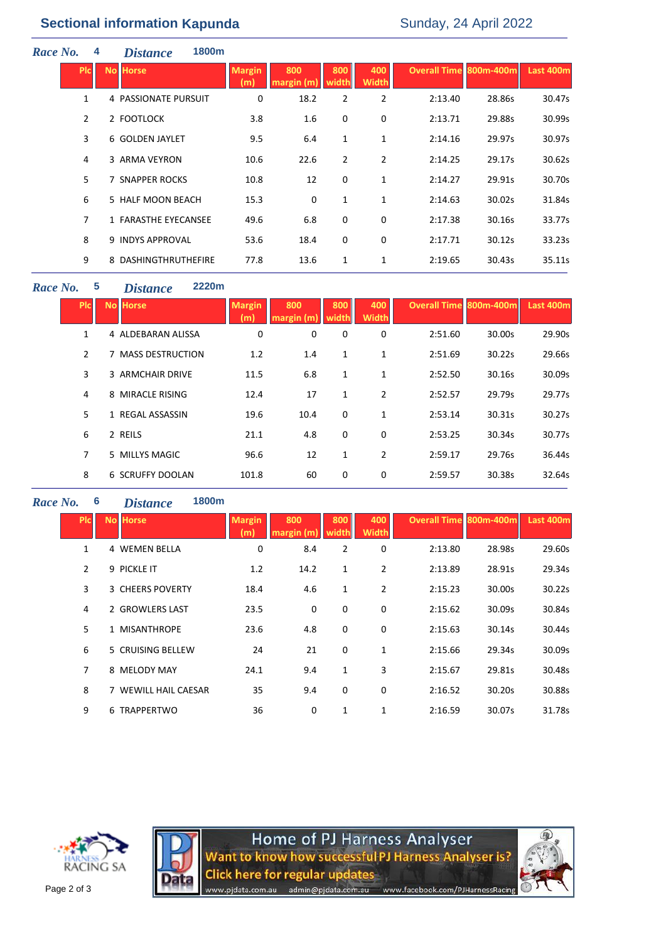| Race No. |                | 4 | 1800m<br><b>Distance</b> |                      |                   |                |                     |                               |        |           |
|----------|----------------|---|--------------------------|----------------------|-------------------|----------------|---------------------|-------------------------------|--------|-----------|
|          | <b>PIC</b>     |   | <b>No Horse</b>          | <b>Margin</b><br>(m) | 800<br>margin (m) | 800<br>width   | 400<br><b>Width</b> | <b>Overall Time 800m-400m</b> |        | Last 400m |
|          | $\mathbf{1}$   |   | 4 PASSIONATE PURSUIT     | 0                    | 18.2              | $\overline{2}$ | $\overline{2}$      | 2:13.40                       | 28.86s | 30.47s    |
|          | $\overline{2}$ |   | 2 FOOTLOCK               | 3.8                  | 1.6               | 0              | 0                   | 2:13.71                       | 29.88s | 30.99s    |
|          | 3              |   | 6 GOLDEN JAYLET          | 9.5                  | 6.4               | 1              | $\mathbf{1}$        | 2:14.16                       | 29.97s | 30.97s    |
|          | 4              |   | 3 ARMA VEYRON            | 10.6                 | 22.6              | 2              | $\overline{2}$      | 2:14.25                       | 29.17s | 30.62s    |
|          | 5              |   | 7 SNAPPER ROCKS          | 10.8                 | 12                | 0              | 1                   | 2:14.27                       | 29.91s | 30.70s    |
|          | 6              |   | 5 HALF MOON BEACH        | 15.3                 | $\mathbf 0$       | 1              | 1                   | 2:14.63                       | 30.02s | 31.84s    |
|          | $\overline{7}$ |   | 1 FARASTHE EYECANSEE     | 49.6                 | 6.8               | 0              | 0                   | 2:17.38                       | 30.16s | 33.77s    |
|          | 8              |   | 9 INDYS APPROVAL         | 53.6                 | 18.4              | 0              | 0                   | 2:17.71                       | 30.12s | 33.23s    |
|          | 9              |   | 8 DASHINGTHRUTHEFIRE     | 77.8                 | 13.6              | 1              | 1                   | 2:19.65                       | 30.43s | 35.11s    |

#### *Race No.* **5** *Distance* **2220m**

| <b>PIC</b> | <b>No Horse</b>    | <b>Margin</b><br>(m) | 800<br>margin (m | 800<br>width | 400<br><b>Width</b> | <b>Overall Time 800m-400m</b> |        | Last 400m |
|------------|--------------------|----------------------|------------------|--------------|---------------------|-------------------------------|--------|-----------|
| 1          | 4 ALDEBARAN ALISSA | 0                    | 0                | 0            | 0                   | 2:51.60                       | 30.00s | 29.90s    |
| 2          | 7 MASS DESTRUCTION | 1.2                  | 1.4              | $\mathbf{1}$ | 1                   | 2:51.69                       | 30.22s | 29.66s    |
| 3          | 3 ARMCHAIR DRIVE   | 11.5                 | 6.8              | 1            | 1                   | 2:52.50                       | 30.16s | 30.09s    |
| 4          | 8 MIRACLE RISING   | 12.4                 | 17               | 1            | $\overline{2}$      | 2:52.57                       | 29.79s | 29.77s    |
| 5          | 1 REGAL ASSASSIN   | 19.6                 | 10.4             | 0            | 1                   | 2:53.14                       | 30.31s | 30.27s    |
| 6          | 2 REILS            | 21.1                 | 4.8              | 0            | 0                   | 2:53.25                       | 30.34s | 30.77s    |
| 7          | 5 MILLYS MAGIC     | 96.6                 | 12               | 1            | 2                   | 2:59.17                       | 29.76s | 36.44s    |
| 8          | 6 SCRUFFY DOOLAN   | 101.8                | 60               | 0            | 0                   | 2:59.57                       | 30.38s | 32.64s    |

## *Race No.* **6** *Distance* **1800m**

| <b>PIC</b>     | <b>No Horse</b>      | <b>Margin</b><br>(m) | 800<br>margin (m) | 800<br>width | 400<br><b>Width</b> | Overall Time 800m-400m |        | Last 400m |
|----------------|----------------------|----------------------|-------------------|--------------|---------------------|------------------------|--------|-----------|
| 1              | <b>4 WEMEN BELLA</b> | 0                    | 8.4               | 2            | 0                   | 2:13.80                | 28.98s | 29.60s    |
| $\overline{2}$ | 9 PICKLE IT          | 1.2                  | 14.2              | $\mathbf{1}$ | $\overline{2}$      | 2:13.89                | 28.91s | 29.34s    |
| 3              | 3 CHEERS POVERTY     | 18.4                 | 4.6               | 1            | $\overline{2}$      | 2:15.23                | 30.00s | 30.22s    |
| 4              | 2 GROWLERS LAST      | 23.5                 | 0                 | 0            | 0                   | 2:15.62                | 30.09s | 30.84s    |
| 5.             | 1 MISANTHROPE        | 23.6                 | 4.8               | 0            | 0                   | 2:15.63                | 30.14s | 30.44s    |
| 6              | 5 CRUISING BELLEW    | 24                   | 21                | 0            | 1                   | 2:15.66                | 29.34s | 30.09s    |
| 7              | 8 MELODY MAY         | 24.1                 | 9.4               | $\mathbf{1}$ | 3                   | 2:15.67                | 29.81s | 30.48s    |
| 8              | 7 WEWILL HAIL CAESAR | 35                   | 9.4               | 0            | 0                   | 2:16.52                | 30.20s | 30.88s    |
| 9              | 6 TRAPPERTWO         | 36                   | 0                 | 1            | 1                   | 2:16.59                | 30.07s | 31.78s    |





Home of PJ Harness Analyser<br>Want to know how successful PJ Harness Analyser is? **Click here for regular updates** admin@pjdata.com.au www.facebook.com/PJHarnessRacing www.pjdata.com.au